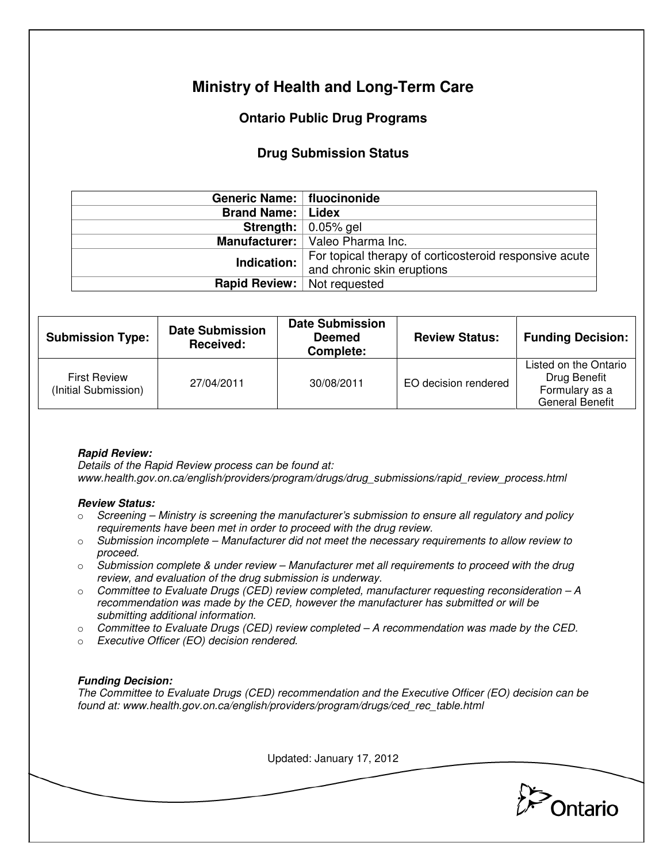# **Ministry of Health and Long-Term Care**

## **Ontario Public Drug Programs**

### **Drug Submission Status**

| Generic Name:   fluocinonide         |                                                        |  |  |
|--------------------------------------|--------------------------------------------------------|--|--|
| <b>Brand Name:   Lidex</b>           |                                                        |  |  |
|                                      | <b>Strength:</b> $\vert$ 0.05% gel                     |  |  |
|                                      | Manufacturer:   Valeo Pharma Inc.                      |  |  |
| Indication:                          | For topical therapy of corticosteroid responsive acute |  |  |
|                                      | and chronic skin eruptions                             |  |  |
| <b>Rapid Review:</b>   Not requested |                                                        |  |  |

| <b>Submission Type:</b>                     | <b>Date Submission</b><br>Received: | <b>Date Submission</b><br><b>Deemed</b><br>Complete: | <b>Review Status:</b> | <b>Funding Decision:</b>                                                          |
|---------------------------------------------|-------------------------------------|------------------------------------------------------|-----------------------|-----------------------------------------------------------------------------------|
| <b>First Review</b><br>(Initial Submission) | 27/04/2011                          | 30/08/2011                                           | EO decision rendered  | Listed on the Ontario<br>Drug Benefit<br>Formulary as a<br><b>General Benefit</b> |

### **Rapid Review:**

Details of the Rapid Review process can be found at: www.health.gov.on.ca/english/providers/program/drugs/drug\_submissions/rapid\_review\_process.html

#### **Review Status:**

- $\circ$  Screening Ministry is screening the manufacturer's submission to ensure all regulatory and policy requirements have been met in order to proceed with the drug review.
- $\circ$  Submission incomplete Manufacturer did not meet the necessary requirements to allow review to proceed.
- $\circ$  Submission complete & under review Manufacturer met all requirements to proceed with the drug review, and evaluation of the drug submission is underway.
- $\circ$  Committee to Evaluate Drugs (CED) review completed, manufacturer requesting reconsideration  $-A$ recommendation was made by the CED, however the manufacturer has submitted or will be submitting additional information.
- $\circ$  Committee to Evaluate Drugs (CED) review completed A recommendation was made by the CED.
- o Executive Officer (EO) decision rendered.

### **Funding Decision:**

The Committee to Evaluate Drugs (CED) recommendation and the Executive Officer (EO) decision can be found at: www.health.gov.on.ca/english/providers/program/drugs/ced\_rec\_table.html

Updated: January 17, 2012

**Pontario**